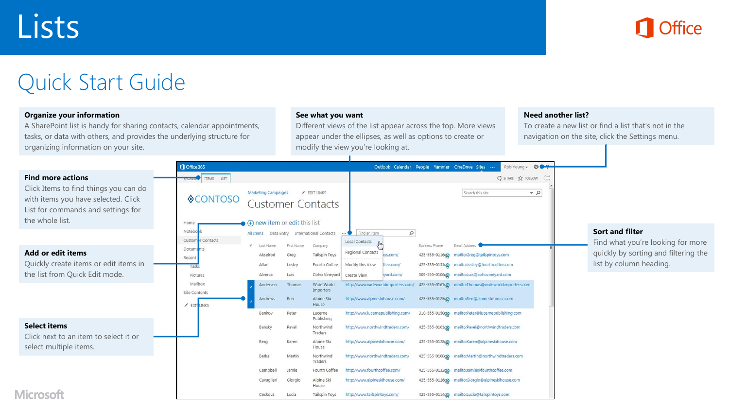

# Quick Start Guide

#### **Organize your information**

A SharePoint list is handy for sharing contacts, calendar appointments, tasks, or data with others, and provides the underlying structure for organizing information on your site.

#### **See what you want**

Different views of the list appear across the top. More views appear under the ellipses, as well as options to create or modify the view you're looking at.

#### **Need another list?**

To create a new list or find a list that's not in the navigation on the site, click the Settings menu.

|                                                                                                                                       | Office 365                      |                                                                      |                    |                                        |                                     |                   |                       | Rob Young - $\bigoplus$<br>Outlook Calendar People Yammer OneDrive Sites |                                                                           |  |
|---------------------------------------------------------------------------------------------------------------------------------------|---------------------------------|----------------------------------------------------------------------|--------------------|----------------------------------------|-------------------------------------|-------------------|-----------------------|--------------------------------------------------------------------------|---------------------------------------------------------------------------|--|
| <b>Find more actions</b>                                                                                                              | <b>BROWSE ITEMS</b> LIST        |                                                                      |                    |                                        |                                     |                   |                       | C SHARE ST FOLLOW [C]                                                    |                                                                           |  |
| Click Items to find things you can do<br>with items you have selected. Click<br>List for commands and settings for<br>the whole list. | <b>OCONTOSO</b><br>Home         | <b>Marketing Campaigns</b><br>$\bigoplus$ new item or edit this list |                    | FDIT LINKS<br><b>Customer Contacts</b> |                                     |                   |                       | $Q =$<br>Search this site                                                |                                                                           |  |
|                                                                                                                                       | Notebo                          | All Items                                                            |                    | Data Entry International Contacts      | Find an item                        | $\mathsf{\Omega}$ |                       |                                                                          | <b>Sort and filter</b>                                                    |  |
| Add or edit items                                                                                                                     | Customer Contacts<br>Documents  | Last Name<br>Akselrod                                                | First Name<br>Greg | Company<br><b>Tailspin Toys</b>        | Local Contacts<br>Regional Contacts | bys.com/          | <b>Business Phone</b> | Email Address<br>425-555-01160 mailto:Greg@tailspintoys.com              | Find what you're looking for more<br>quickly by sorting and filtering the |  |
| Quickly create items or edit items in                                                                                                 | Recent<br>Tasks                 | Allan                                                                | Lesley             | Fourth Coffee                          | Modify this View                    | ffee.com/         |                       | 425-555-0131@ mailto:Lesley@fourthcoffee.com                             | list by column heading.                                                   |  |
| the list from Quick Edit mode.                                                                                                        | Pictures                        | Alverca                                                              | Luis               | Coho Vineyard                          | Create View                         | eyard.com/        |                       | 509-555-01060 mailto:Luis@cohovineyard.com                               |                                                                           |  |
|                                                                                                                                       | Mailbox<br><b>Site Contents</b> | Andersen                                                             | Thomas             | Wide World<br>Importers                | http://www.wideworldimporters.com/  |                   |                       | 425-555-0161@ mailto:Thomas@wideworldimporters.com                       |                                                                           |  |
|                                                                                                                                       | EDIT LINKS                      | Andrews                                                              | Ben                | Alpine Ski<br>House                    | http://www.alpineskihouse.com/      |                   |                       | 425-555-0125@ mailto:Ben@alpineskihouse.com                              |                                                                           |  |
|                                                                                                                                       |                                 | Bankov                                                               | Peter              | Lucerne<br>Publishing                  | http://www.lucernepublishing.com/   |                   |                       | 310-555-0150g mailto:Peter@lucernepublishing.com                         |                                                                           |  |
| <b>Select items</b><br>Click next to an item to select it or                                                                          |                                 | Bansky                                                               | Pavel              | Northwind<br>Traders                   | http://www.northwindtraders.com/    |                   |                       | 425-555-010102 mailto:Pavel@northwindtraders.com                         |                                                                           |  |
| select multiple items.                                                                                                                |                                 | Berg                                                                 | Karen              | Alpine Ski<br>House                    | http://www.alpineskihouse.com/      |                   |                       | 425-555-0128@ mailto:Karen@alpineskihouse.com                            |                                                                           |  |
|                                                                                                                                       |                                 | Berka                                                                | Martin             | Northwind<br>Traders                   | http://www.northwindtraders.com/    |                   |                       | 425-555-0100go mailto:Martin@northwindtraders.com                        |                                                                           |  |
|                                                                                                                                       |                                 | Campbell                                                             | Jamie              | Fourth Coffee                          | http://www.fourthcoffee.com/        |                   |                       | 425-555-0132co mailto:Jamie@fourthcoffee.com                             |                                                                           |  |
|                                                                                                                                       |                                 | Cavaglieri                                                           | Giorgio            | Alpine Ski<br>House                    | http://www.alpineskihouse.com/      |                   |                       | 425-555-0126g> mailto:Giorgio@alpineskihouse.com                         |                                                                           |  |
| <b>Microsoft</b>                                                                                                                      |                                 | Ceckova                                                              | Lucia              | <b>Tailspin Toys</b>                   | http://www.tailspintoys.com/        |                   |                       | 425-555-0114@ mailto:Lucia@tailspintoys.com                              |                                                                           |  |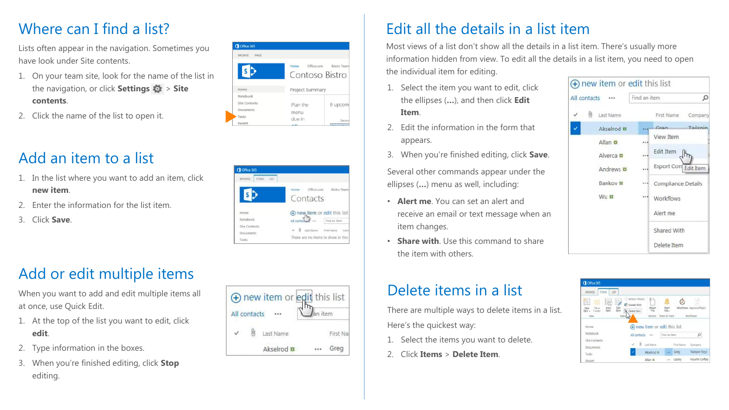#### Where can I find a list?

Lists often appear in the navigation. Sometimes you have look under Site contents.

- 1. On your team site, look for the name of the list in the navigation, or click **Settings** > **Site contents**.
- 2. Click the name of the list to open it.

# Add an item to a list

- 1. In the list where you want to add an item, click **new item**.
- 2. Enter the information for the list item.
- 3. Click **Save**.





### Add or edit multiple items

When you want to add and edit multiple items all at once, use Quick Edit.

- 1. At the top of the list you want to edit, click **edit**.
- 2. Type information in the boxes.
- 3. When you're finished editing, click **Stop** editing.

|              | ⊕ new item or edit this list |         |           |
|--------------|------------------------------|---------|-----------|
| All contacts |                              | an item |           |
|              | Last Name                    |         | First Nat |
|              | Akselrod #                   |         | Greg      |

### Edit all the details in a list item

Most views of a list don't show all the details in a list item. There's usually more information hidden from view. To edit all the details in a list item, you need to open the individual item for editing.

- 1. Select the item you want to edit, click the ellipses (**…**), and then click **Edit Item**.
- 2. Edit the information in the form that appears.
- 3. When you're finished editing, click **Save**.

Several other commands appear under the ellipses (**…**) menu as well, including:

- **Alert me**. You can set an alert and receive an email or text message when an item changes.
- **Share with**. Use this command to share the item with others.

| All contacts   |  | Find an item         |          |  |  |  |
|----------------|--|----------------------|----------|--|--|--|
| U<br>Last Name |  | First Name Company   |          |  |  |  |
| Akselrod #     |  | Gran                 | Tailenin |  |  |  |
| Allan #        |  | View Item            |          |  |  |  |
| Alverca #      |  | Edit Item            |          |  |  |  |
| Andrews #      |  | Export Con Edit Item |          |  |  |  |
| Bankov #       |  | Compliance Details   |          |  |  |  |
| Wu #           |  | "" Workflows         |          |  |  |  |
|                |  | Alert me             |          |  |  |  |
|                |  | Shared With          |          |  |  |  |
|                |  | Delete Item          |          |  |  |  |

# Delete items in a list

There are multiple ways to delete items in a list. Here's the quickest way:

- 1. Select the items you want to delete.
- 2. Click **Items** > **Delete Item**.